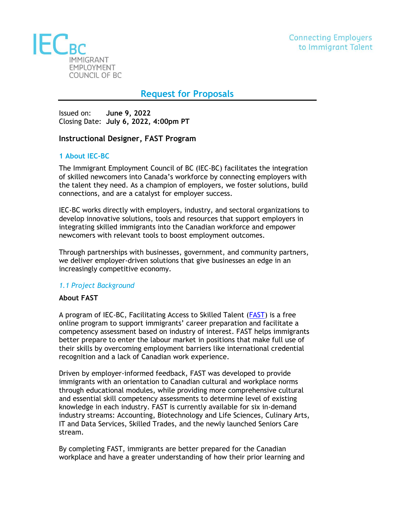

# **Request for Proposals**

Issued on: **June 9, 2022** Closing Date: **July 6, 2022, 4:00pm PT**

### **Instructional Designer, FAST Program**

### **1 About IEC-BC**

The Immigrant Employment Council of BC (IEC-BC) facilitates the integration of skilled newcomers into Canada's workforce by connecting employers with the talent they need. As a champion of employers, we foster solutions, build connections, and are a catalyst for employer success.

IEC-BC works directly with employers, industry, and sectoral organizations to develop innovative solutions, tools and resources that support employers in integrating skilled immigrants into the Canadian workforce and empower newcomers with relevant tools to boost employment outcomes.

Through partnerships with businesses, government, and community partners, we deliver employer-driven solutions that give businesses an edge in an increasingly competitive economy.

#### *1.1 Project Background*

#### **About FAST**

A program of IEC-BC, Facilitating Access to Skilled Talent [\(FAST\)](http://www.fastbc.org/) is a free online program to support immigrants' career preparation and facilitate a competency assessment based on industry of interest. FAST helps immigrants better prepare to enter the labour market in positions that make full use of their skills by overcoming employment barriers like international credential recognition and a lack of Canadian work experience.

Driven by employer-informed feedback, FAST was developed to provide immigrants with an orientation to Canadian cultural and workplace norms through educational modules, while providing more comprehensive cultural and essential skill competency assessments to determine level of existing knowledge in each industry. FAST is currently available for six in-demand industry streams: Accounting, Biotechnology and Life Sciences, Culinary Arts, IT and Data Services, Skilled Trades, and the newly launched Seniors Care stream.

By completing FAST, immigrants are better prepared for the Canadian workplace and have a greater understanding of how their prior learning and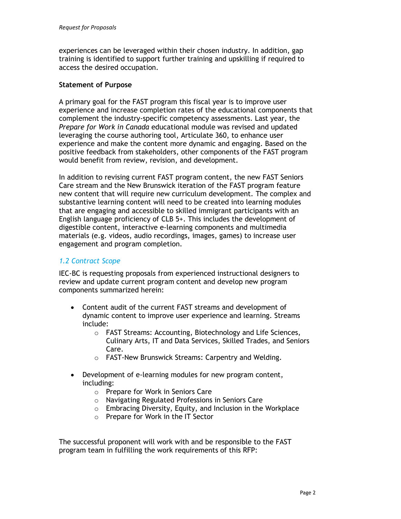experiences can be leveraged within their chosen industry. In addition, gap training is identified to support further training and upskilling if required to access the desired occupation.

### **Statement of Purpose**

A primary goal for the FAST program this fiscal year is to improve user experience and increase completion rates of the educational components that complement the industry-specific competency assessments. Last year, the *Prepare for Work in Canada* educational module was revised and updated leveraging the course authoring tool, Articulate 360, to enhance user experience and make the content more dynamic and engaging. Based on the positive feedback from stakeholders, other components of the FAST program would benefit from review, revision, and development.

In addition to revising current FAST program content, the new FAST Seniors Care stream and the New Brunswick iteration of the FAST program feature new content that will require new curriculum development. The complex and substantive learning content will need to be created into learning modules that are engaging and accessible to skilled immigrant participants with an English language proficiency of CLB 5+. This includes the development of digestible content, interactive e-learning components and multimedia materials (e.g. videos, audio recordings, images, games) to increase user engagement and program completion.

# *1.2 Contract Scope*

IEC-BC is requesting proposals from experienced instructional designers to review and update current program content and develop new program components summarized herein:

- Content audit of the current FAST streams and development of dynamic content to improve user experience and learning. Streams include:
	- o FAST Streams: Accounting, Biotechnology and Life Sciences, Culinary Arts, IT and Data Services, Skilled Trades, and Seniors Care.
	- o FAST-New Brunswick Streams: Carpentry and Welding.
- Development of e-learning modules for new program content, including:
	- o Prepare for Work in Seniors Care
	- o Navigating Regulated Professions in Seniors Care
	- $\circ$  Embracing Diversity, Equity, and Inclusion in the Workplace
	- o Prepare for Work in the IT Sector

The successful proponent will work with and be responsible to the FAST program team in fulfilling the work requirements of this RFP: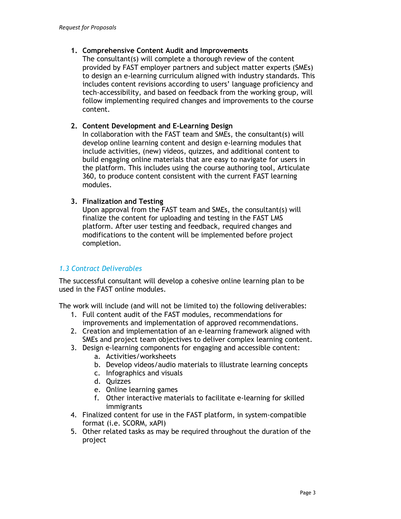# **1. Comprehensive Content Audit and Improvements**

The consultant(s) will complete a thorough review of the content provided by FAST employer partners and subject matter experts (SMEs) to design an e-learning curriculum aligned with industry standards. This includes content revisions according to users' language proficiency and tech-accessibility, and based on feedback from the working group, will follow implementing required changes and improvements to the course content.

### **2. Content Development and E-Learning Design**

In collaboration with the FAST team and SMEs, the consultant(s) will develop online learning content and design e-learning modules that include activities, (new) videos, quizzes, and additional content to build engaging online materials that are easy to navigate for users in the platform. This includes using the course authoring tool, Articulate 360, to produce content consistent with the current FAST learning modules.

# **3. Finalization and Testing**

Upon approval from the FAST team and SMEs, the consultant(s) will finalize the content for uploading and testing in the FAST LMS platform. After user testing and feedback, required changes and modifications to the content will be implemented before project completion.

# *1.3 Contract Deliverables*

The successful consultant will develop a cohesive online learning plan to be used in the FAST online modules.

The work will include (and will not be limited to) the following deliverables:

- 1. Full content audit of the FAST modules, recommendations for improvements and implementation of approved recommendations.
- 2. Creation and implementation of an e-learning framework aligned with SMEs and project team objectives to deliver complex learning content.
- 3. Design e-learning components for engaging and accessible content:
	- a. Activities/worksheets
	- b. Develop videos/audio materials to illustrate learning concepts
	- c. Infographics and visuals
	- d. Quizzes
	- e. Online learning games
	- f. Other interactive materials to facilitate e-learning for skilled immigrants
- 4. Finalized content for use in the FAST platform, in system-compatible format (i.e. SCORM, xAPI)
- 5. Other related tasks as may be required throughout the duration of the project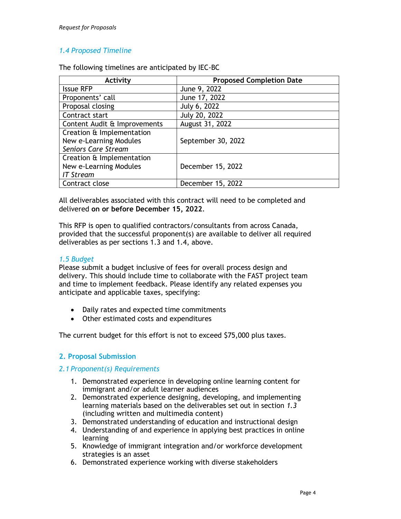# *1.4 Proposed Timeline*

The following timelines are anticipated by IEC-BC

| Activity                     | <b>Proposed Completion Date</b> |
|------------------------------|---------------------------------|
| <b>Issue RFP</b>             | June 9, 2022                    |
| Proponents' call             | June 17, 2022                   |
| Proposal closing             | July 6, 2022                    |
| Contract start               | July 20, 2022                   |
| Content Audit & Improvements | August 31, 2022                 |
| Creation & Implementation    |                                 |
| New e-Learning Modules       | September 30, 2022              |
| Seniors Care Stream          |                                 |
| Creation & Implementation    |                                 |
| New e-Learning Modules       | December 15, 2022               |
| <b>IT Stream</b>             |                                 |
| Contract close               | December 15, 2022               |

All deliverables associated with this contract will need to be completed and delivered **on or before December 15, 2022**.

This RFP is open to qualified contractors/consultants from across Canada, provided that the successful proponent(s) are available to deliver all required deliverables as per sections 1.3 and 1.4, above.

#### *1.5 Budget*

Please submit a budget inclusive of fees for overall process design and delivery. This should include time to collaborate with the FAST project team and time to implement feedback. Please identify any related expenses you anticipate and applicable taxes, specifying:

- Daily rates and expected time commitments
- Other estimated costs and expenditures

The current budget for this effort is not to exceed \$75,000 plus taxes.

### **2. Proposal Submission**

#### *2.1 Proponent(s) Requirements*

- 1. Demonstrated experience in developing online learning content for immigrant and/or adult learner audiences
- 2. Demonstrated experience designing, developing, and implementing learning materials based on the deliverables set out in section *1.3* (including written and multimedia content)
- 3. Demonstrated understanding of education and instructional design
- 4. Understanding of and experience in applying best practices in online learning
- 5. Knowledge of immigrant integration and/or workforce development strategies is an asset
- 6. Demonstrated experience working with diverse stakeholders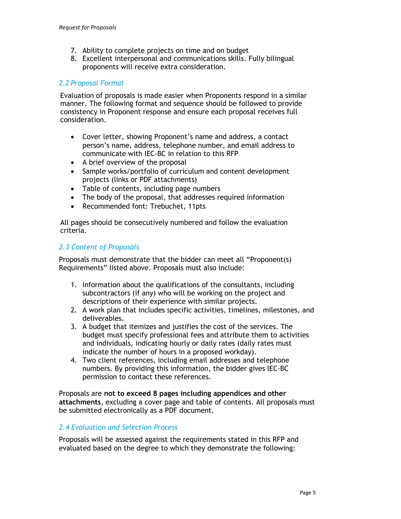- 7. Ability to complete projects on time and on budget
- 8. Excellent interpersonal and communications skills. Fully bilingual proponents will receive extra consideration.

# *2.2 Proposal Format*

Evaluation of proposals is made easier when Proponents respond in a similar manner. The following format and sequence should be followed to provide consistency in Proponent response and ensure each proposal receives full consideration.

- Cover letter, showing Proponent's name and address, a contact person's name, address, telephone number, and email address to communicate with IEC-BC in relation to this RFP
- A brief overview of the proposal
- Sample works/portfolio of curriculum and content development projects (links or PDF attachments)
- Table of contents, including page numbers
- The body of the proposal, that addresses required information
- Recommended font: Trebuchet, 11pts

All pages should be consecutively numbered and follow the evaluation criteria.

### *2.3 Content of Proposals*

Proposals must demonstrate that the bidder can meet all "Proponent(s) Requirements" listed above. Proposals must also include:

- 1. Information about the qualifications of the consultants, including subcontractors (if any) who will be working on the project and descriptions of their experience with similar projects.
- 2. A work plan that includes specific activities, timelines, milestones, and deliverables.
- 3. A budget that itemizes and justifies the cost of the services. The budget must specify professional fees and attribute them to activities and individuals, indicating hourly or daily rates (daily rates must indicate the number of hours in a proposed workday).
- 4. Two client references, including email addresses and telephone numbers. By providing this information, the bidder gives IEC-BC permission to contact these references.

Proposals are **not to exceed 8 pages including appendices and other attachments**, excluding a cover page and table of contents. All proposals must be submitted electronically as a PDF document.

### *2.4 Evaluation and Selection Process*

Proposals will be assessed against the requirements stated in this RFP and evaluated based on the degree to which they demonstrate the following: